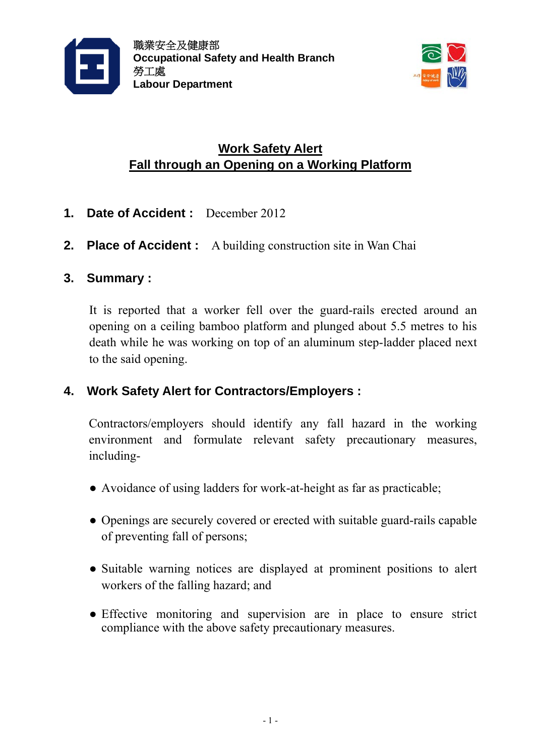



# **Work Safety Alert Fall through an Opening on a Working Platform**

- **1. Date of Accident :** December 2012
- **2. Place of Accident :** A building construction site in Wan Chai

### **3. Summary :**

It is reported that a worker fell over the guard-rails erected around an opening on a ceiling bamboo platform and plunged about 5.5 metres to his death while he was working on top of an aluminum step-ladder placed next to the said opening.

## **4. Work Safety Alert for Contractors/Employers :**

Contractors/employers should identify any fall hazard in the working environment and formulate relevant safety precautionary measures, including-

- Avoidance of using ladders for work-at-height as far as practicable;
- Openings are securely covered or erected with suitable guard-rails capable of preventing fall of persons;
- Suitable warning notices are displayed at prominent positions to alert workers of the falling hazard; and
- Effective monitoring and supervision are in place to ensure strict compliance with the above safety precautionary measures.